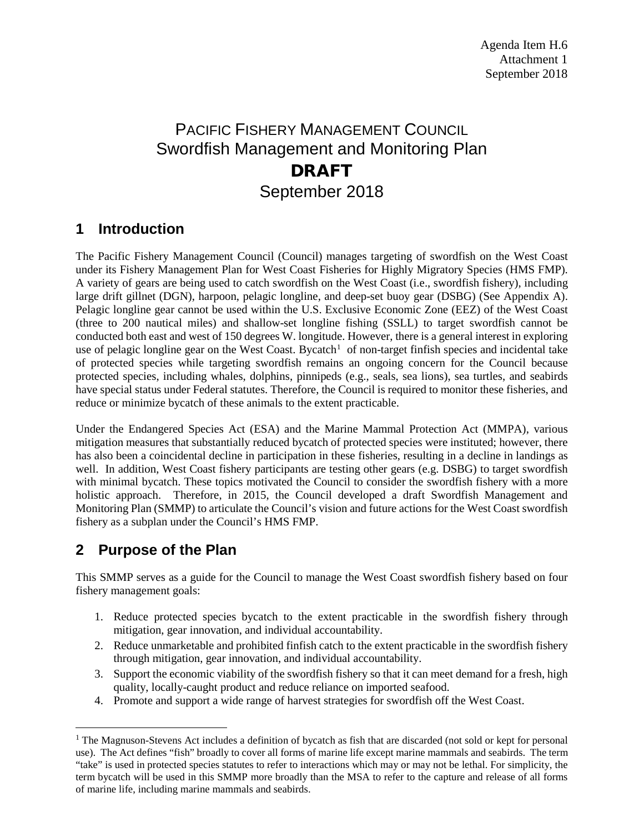# PACIFIC FISHERY MANAGEMENT COUNCIL Swordfish Management and Monitoring Plan DRAFT September 2018

### **1 Introduction**

The Pacific Fishery Management Council (Council) manages targeting of swordfish on the West Coast under its Fishery Management Plan for West Coast Fisheries for Highly Migratory Species (HMS FMP). A variety of gears are being used to catch swordfish on the West Coast (i.e., swordfish fishery), including large drift gillnet (DGN), harpoon, pelagic longline, and deep-set buoy gear (DSBG) (See Appendix A). Pelagic longline gear cannot be used within the U.S. Exclusive Economic Zone (EEZ) of the West Coast (three to 200 nautical miles) and shallow-set longline fishing (SSLL) to target swordfish cannot be conducted both east and west of 150 degrees W. longitude. However, there is a general interest in exploring use of pelagic longline gear on the West Coast. Bycatch<sup>[1](#page-0-0)</sup> of non-target finfish species and incidental take of protected species while targeting swordfish remains an ongoing concern for the Council because protected species, including whales, dolphins, pinnipeds (e.g., seals, sea lions), sea turtles, and seabirds have special status under Federal statutes. Therefore, the Council is required to monitor these fisheries, and reduce or minimize bycatch of these animals to the extent practicable.

Under the Endangered Species Act (ESA) and the Marine Mammal Protection Act (MMPA), various mitigation measures that substantially reduced bycatch of protected species were instituted; however, there has also been a coincidental decline in participation in these fisheries, resulting in a decline in landings as well. In addition, West Coast fishery participants are testing other gears (e.g. DSBG) to target swordfish with minimal bycatch. These topics motivated the Council to consider the swordfish fishery with a more holistic approach. Therefore, in 2015, the Council developed a draft Swordfish Management and Monitoring Plan (SMMP) to articulate the Council's vision and future actions for the West Coast swordfish fishery as a subplan under the Council's HMS FMP.

## **2 Purpose of the Plan**

This SMMP serves as a guide for the Council to manage the West Coast swordfish fishery based on four fishery management goals:

- 1. Reduce protected species bycatch to the extent practicable in the swordfish fishery through mitigation, gear innovation, and individual accountability.
- 2. Reduce unmarketable and prohibited finfish catch to the extent practicable in the swordfish fishery through mitigation, gear innovation, and individual accountability.
- 3. Support the economic viability of the swordfish fishery so that it can meet demand for a fresh, high quality, locally-caught product and reduce reliance on imported seafood.
- 4. Promote and support a wide range of harvest strategies for swordfish off the West Coast.

<span id="page-0-0"></span><sup>&</sup>lt;sup>1</sup> The Magnuson-Stevens Act includes a definition of bycatch as fish that are discarded (not sold or kept for personal use). The Act defines "fish" broadly to cover all forms of marine life except marine mammals and seabirds. The term "take" is used in protected species statutes to refer to interactions which may or may not be lethal. For simplicity, the term bycatch will be used in this SMMP more broadly than the MSA to refer to the capture and release of all forms of marine life, including marine mammals and seabirds.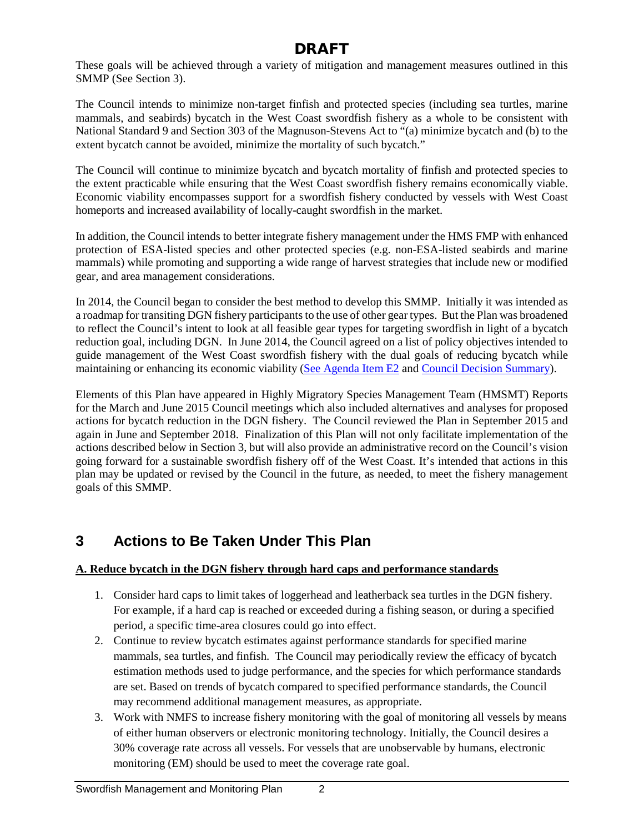These goals will be achieved through a variety of mitigation and management measures outlined in this SMMP (See Section 3).

The Council intends to minimize non-target finfish and protected species (including sea turtles, marine mammals, and seabirds) bycatch in the West Coast swordfish fishery as a whole to be consistent with National Standard 9 and Section 303 of the Magnuson-Stevens Act to "(a) minimize bycatch and (b) to the extent bycatch cannot be avoided, minimize the mortality of such bycatch."

The Council will continue to minimize bycatch and bycatch mortality of finfish and protected species to the extent practicable while ensuring that the West Coast swordfish fishery remains economically viable. Economic viability encompasses support for a swordfish fishery conducted by vessels with West Coast homeports and increased availability of locally-caught swordfish in the market.

In addition, the Council intends to better integrate fishery management under the HMS FMP with enhanced protection of ESA-listed species and other protected species (e.g. non-ESA-listed seabirds and marine mammals) while promoting and supporting a wide range of harvest strategies that include new or modified gear, and area management considerations.

In 2014, the Council began to consider the best method to develop this SMMP. Initially it was intended as a roadmap for transiting DGN fishery participants to the use of other gear types. But the Plan was broadened to reflect the Council's intent to look at all feasible gear types for targeting swordfish in light of a bycatch reduction goal, including DGN. In June 2014, the Council agreed on a list of policy objectives intended to guide management of the West Coast swordfish fishery with the dual goals of reducing bycatch while maintaining or enhancing its economic viability [\(See Agenda Item E2](http://www.pcouncil.org/wp-content/uploads/E2_SitSum_DGNtransition_JUNE2014BB.pdf) and [Council Decision Summary\)](http://www.pcouncil.org/wp-content/uploads/0614decisions.pdf).

Elements of this Plan have appeared in Highly Migratory Species Management Team (HMSMT) Reports for the March and June 2015 Council meetings which also included alternatives and analyses for proposed actions for bycatch reduction in the DGN fishery. The Council reviewed the Plan in September 2015 and again in June and September 2018. Finalization of this Plan will not only facilitate implementation of the actions described below in Section 3, but will also provide an administrative record on the Council's vision going forward for a sustainable swordfish fishery off of the West Coast. It's intended that actions in this plan may be updated or revised by the Council in the future, as needed, to meet the fishery management goals of this SMMP.

# **3 Actions to Be Taken Under This Plan**

### **A. Reduce bycatch in the DGN fishery through hard caps and performance standards**

- 1. Consider hard caps to limit takes of loggerhead and leatherback sea turtles in the DGN fishery. For example, if a hard cap is reached or exceeded during a fishing season, or during a specified period, a specific time-area closures could go into effect.
- 2. Continue to review bycatch estimates against performance standards for specified marine mammals, sea turtles, and finfish. The Council may periodically review the efficacy of bycatch estimation methods used to judge performance, and the species for which performance standards are set. Based on trends of bycatch compared to specified performance standards, the Council may recommend additional management measures, as appropriate.
- 3. Work with NMFS to increase fishery monitoring with the goal of monitoring all vessels by means of either human observers or electronic monitoring technology. Initially, the Council desires a 30% coverage rate across all vessels. For vessels that are unobservable by humans, electronic monitoring (EM) should be used to meet the coverage rate goal.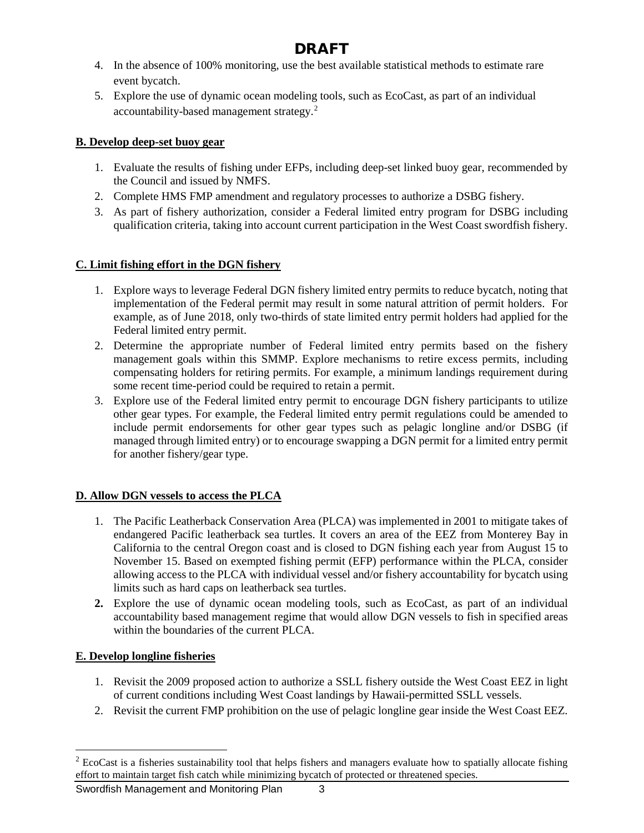- 4. In the absence of 100% monitoring, use the best available statistical methods to estimate rare event bycatch.
- 5. Explore the use of dynamic ocean modeling tools, such as EcoCast, as part of an individual accountability-based management strategy.<sup>[2](#page-2-0)</sup>

### **B. Develop deep-set buoy gear**

- 1. Evaluate the results of fishing under EFPs, including deep-set linked buoy gear, recommended by the Council and issued by NMFS.
- 2. Complete HMS FMP amendment and regulatory processes to authorize a DSBG fishery.
- 3. As part of fishery authorization, consider a Federal limited entry program for DSBG including qualification criteria, taking into account current participation in the West Coast swordfish fishery.

### **C. Limit fishing effort in the DGN fishery**

- 1. Explore ways to leverage Federal DGN fishery limited entry permits to reduce bycatch, noting that implementation of the Federal permit may result in some natural attrition of permit holders. For example, as of June 2018, only two-thirds of state limited entry permit holders had applied for the Federal limited entry permit.
- 2. Determine the appropriate number of Federal limited entry permits based on the fishery management goals within this SMMP. Explore mechanisms to retire excess permits, including compensating holders for retiring permits. For example, a minimum landings requirement during some recent time-period could be required to retain a permit.
- 3. Explore use of the Federal limited entry permit to encourage DGN fishery participants to utilize other gear types. For example, the Federal limited entry permit regulations could be amended to include permit endorsements for other gear types such as pelagic longline and/or DSBG (if managed through limited entry) or to encourage swapping a DGN permit for a limited entry permit for another fishery/gear type.

### **D. Allow DGN vessels to access the PLCA**

- 1. The Pacific Leatherback Conservation Area (PLCA) was implemented in 2001 to mitigate takes of endangered Pacific leatherback sea turtles. It covers an area of the EEZ from Monterey Bay in California to the central Oregon coast and is closed to DGN fishing each year from August 15 to November 15. Based on exempted fishing permit (EFP) performance within the PLCA, consider allowing access to the PLCA with individual vessel and/or fishery accountability for bycatch using limits such as hard caps on leatherback sea turtles.
- **2.** Explore the use of dynamic ocean modeling tools, such as EcoCast, as part of an individual accountability based management regime that would allow DGN vessels to fish in specified areas within the boundaries of the current PLCA.

### **E. Develop longline fisheries**

- 1. Revisit the 2009 proposed action to authorize a SSLL fishery outside the West Coast EEZ in light of current conditions including West Coast landings by Hawaii-permitted SSLL vessels.
- 2. Revisit the current FMP prohibition on the use of pelagic longline gear inside the West Coast EEZ.

<span id="page-2-0"></span><sup>&</sup>lt;sup>2</sup> EcoCast is a fisheries sustainability tool that helps fishers and managers evaluate how to spatially allocate fishing effort to maintain target fish catch while minimizing bycatch of protected or threatened species.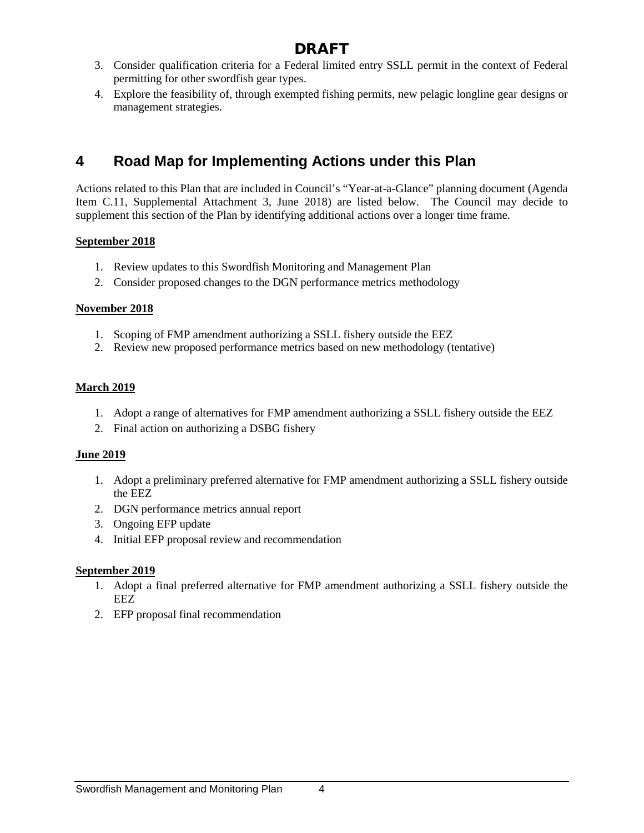- 3. Consider qualification criteria for a Federal limited entry SSLL permit in the context of Federal permitting for other swordfish gear types.
- 4. Explore the feasibility of, through exempted fishing permits, new pelagic longline gear designs or management strategies.

## **4 Road Map for Implementing Actions under this Plan**

Actions related to this Plan that are included in Council's "Year-at-a-Glance" planning document (Agenda Item C.11, Supplemental Attachment 3, June 2018) are listed below. The Council may decide to supplement this section of the Plan by identifying additional actions over a longer time frame.

#### **September 2018**

- 1. Review updates to this Swordfish Monitoring and Management Plan
- 2. Consider proposed changes to the DGN performance metrics methodology

#### **November 2018**

- 1. Scoping of FMP amendment authorizing a SSLL fishery outside the EEZ
- 2. Review new proposed performance metrics based on new methodology (tentative)

#### **March 2019**

- 1. Adopt a range of alternatives for FMP amendment authorizing a SSLL fishery outside the EEZ
- 2. Final action on authorizing a DSBG fishery

#### **June 2019**

- 1. Adopt a preliminary preferred alternative for FMP amendment authorizing a SSLL fishery outside the EEZ
- 2. DGN performance metrics annual report
- 3. Ongoing EFP update
- 4. Initial EFP proposal review and recommendation

#### **September 2019**

- 1. Adopt a final preferred alternative for FMP amendment authorizing a SSLL fishery outside the EEZ
- 2. EFP proposal final recommendation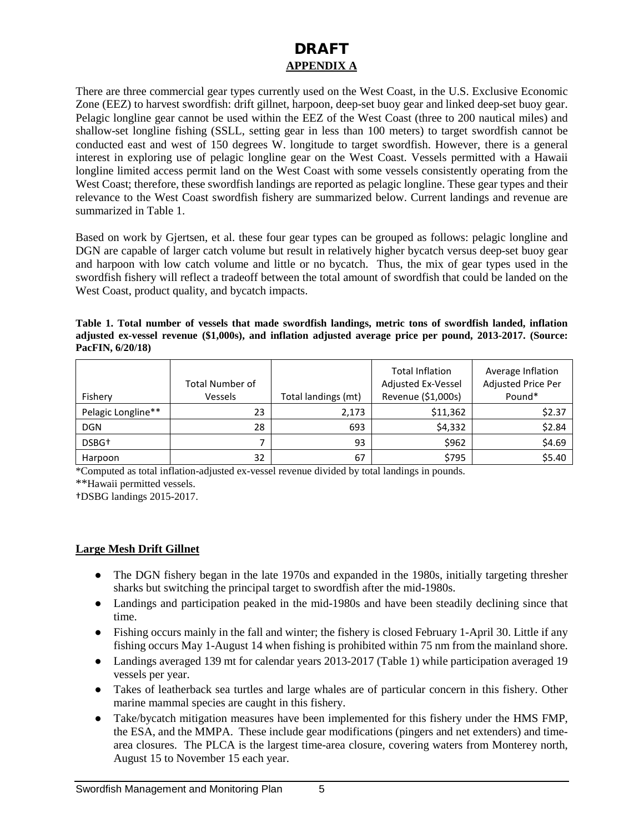### DRAFT **APPENDIX A**

There are three commercial gear types currently used on the West Coast, in the U.S. Exclusive Economic Zone (EEZ) to harvest swordfish: drift gillnet, harpoon, deep-set buoy gear and linked deep-set buoy gear. Pelagic longline gear cannot be used within the EEZ of the West Coast (three to 200 nautical miles) and shallow-set longline fishing (SSLL, setting gear in less than 100 meters) to target swordfish cannot be conducted east and west of 150 degrees W. longitude to target swordfish. However, there is a general interest in exploring use of pelagic longline gear on the West Coast. Vessels permitted with a Hawaii longline limited access permit land on the West Coast with some vessels consistently operating from the West Coast; therefore, these swordfish landings are reported as pelagic longline. These gear types and their relevance to the West Coast swordfish fishery are summarized below. Current landings and revenue are summarized in Table 1.

Based on work by Gjertsen, et al. these four gear types can be grouped as follows: pelagic longline and DGN are capable of larger catch volume but result in relatively higher bycatch versus deep-set buoy gear and harpoon with low catch volume and little or no bycatch. Thus, the mix of gear types used in the swordfish fishery will reflect a tradeoff between the total amount of swordfish that could be landed on the West Coast, product quality, and bycatch impacts.

**Table 1. Total number of vessels that made swordfish landings, metric tons of swordfish landed, inflation adjusted ex-vessel revenue (\$1,000s), and inflation adjusted average price per pound, 2013-2017. (Source: PacFIN, 6/20/18)**

|                    | <b>Total Number of</b> |                     | <b>Total Inflation</b><br>Adjusted Ex-Vessel | Average Inflation<br>Adjusted Price Per |
|--------------------|------------------------|---------------------|----------------------------------------------|-----------------------------------------|
| Fishery            | Vessels                | Total landings (mt) | Revenue (\$1,000s)                           | Pound*                                  |
| Pelagic Longline** | 23                     | 2,173               | \$11,362                                     | \$2.37                                  |
| <b>DGN</b>         | 28                     | 693                 | \$4,332                                      | \$2.84                                  |
| DSBG <sup>+</sup>  |                        | 93                  | \$962                                        | \$4.69                                  |
| Harpoon            | 32                     | 67                  | \$795                                        | \$5.40                                  |

\*Computed as total inflation-adjusted ex-vessel revenue divided by total landings in pounds.

\*\*Hawaii permitted vessels.

†DSBG landings 2015-2017.

#### **Large Mesh Drift Gillnet**

- The DGN fishery began in the late 1970s and expanded in the 1980s, initially targeting thresher sharks but switching the principal target to swordfish after the mid-1980s.
- Landings and participation peaked in the mid-1980s and have been steadily declining since that time.
- Fishing occurs mainly in the fall and winter; the fishery is closed February 1-April 30. Little if any fishing occurs May 1-August 14 when fishing is prohibited within 75 nm from the mainland shore.
- Landings averaged 139 mt for calendar years 2013-2017 (Table 1) while participation averaged 19 vessels per year.
- Takes of leatherback sea turtles and large whales are of particular concern in this fishery. Other marine mammal species are caught in this fishery.
- Take/bycatch mitigation measures have been implemented for this fishery under the HMS FMP, the ESA, and the MMPA. These include gear modifications (pingers and net extenders) and timearea closures. The PLCA is the largest time-area closure, covering waters from Monterey north, August 15 to November 15 each year.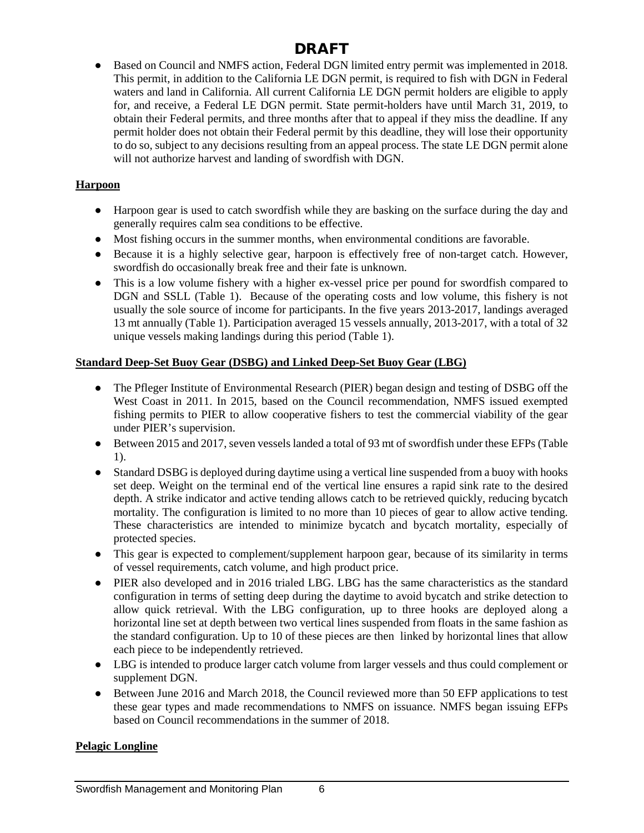● Based on Council and NMFS action, Federal DGN limited entry permit was implemented in 2018. This permit, in addition to the California LE DGN permit, is required to fish with DGN in Federal waters and land in California. All current California LE DGN permit holders are eligible to apply for, and receive, a Federal LE DGN permit. State permit-holders have until March 31, 2019, to obtain their Federal permits, and three months after that to appeal if they miss the deadline. If any permit holder does not obtain their Federal permit by this deadline, they will lose their opportunity to do so, subject to any decisions resulting from an appeal process. The state LE DGN permit alone will not authorize harvest and landing of swordfish with DGN.

#### **Harpoon**

- Harpoon gear is used to catch swordfish while they are basking on the surface during the day and generally requires calm sea conditions to be effective.
- Most fishing occurs in the summer months, when environmental conditions are favorable.
- Because it is a highly selective gear, harpoon is effectively free of non-target catch. However, swordfish do occasionally break free and their fate is unknown.
- This is a low volume fishery with a higher ex-vessel price per pound for swordfish compared to DGN and SSLL (Table 1). Because of the operating costs and low volume, this fishery is not usually the sole source of income for participants. In the five years 2013-2017, landings averaged 13 mt annually (Table 1). Participation averaged 15 vessels annually, 2013-2017, with a total of 32 unique vessels making landings during this period (Table 1).

### **Standard Deep-Set Buoy Gear (DSBG) and Linked Deep-Set Buoy Gear (LBG)**

- The Pfleger Institute of Environmental Research (PIER) began design and testing of DSBG off the West Coast in 2011. In 2015, based on the Council recommendation, NMFS issued exempted fishing permits to PIER to allow cooperative fishers to test the commercial viability of the gear under PIER's supervision.
- Between 2015 and 2017, seven vessels landed a total of 93 mt of swordfish under these EFPs (Table 1).
- Standard DSBG is deployed during daytime using a vertical line suspended from a buoy with hooks set deep. Weight on the terminal end of the vertical line ensures a rapid sink rate to the desired depth. A strike indicator and active tending allows catch to be retrieved quickly, reducing bycatch mortality. The configuration is limited to no more than 10 pieces of gear to allow active tending. These characteristics are intended to minimize bycatch and bycatch mortality, especially of protected species.
- This gear is expected to complement/supplement harpoon gear, because of its similarity in terms of vessel requirements, catch volume, and high product price.
- PIER also developed and in 2016 trialed LBG. LBG has the same characteristics as the standard configuration in terms of setting deep during the daytime to avoid bycatch and strike detection to allow quick retrieval. With the LBG configuration, up to three hooks are deployed along a horizontal line set at depth between two vertical lines suspended from floats in the same fashion as the standard configuration. Up to 10 of these pieces are then linked by horizontal lines that allow each piece to be independently retrieved.
- LBG is intended to produce larger catch volume from larger vessels and thus could complement or supplement DGN.
- Between June 2016 and March 2018, the Council reviewed more than 50 EFP applications to test these gear types and made recommendations to NMFS on issuance. NMFS began issuing EFPs based on Council recommendations in the summer of 2018.

### **Pelagic Longline**